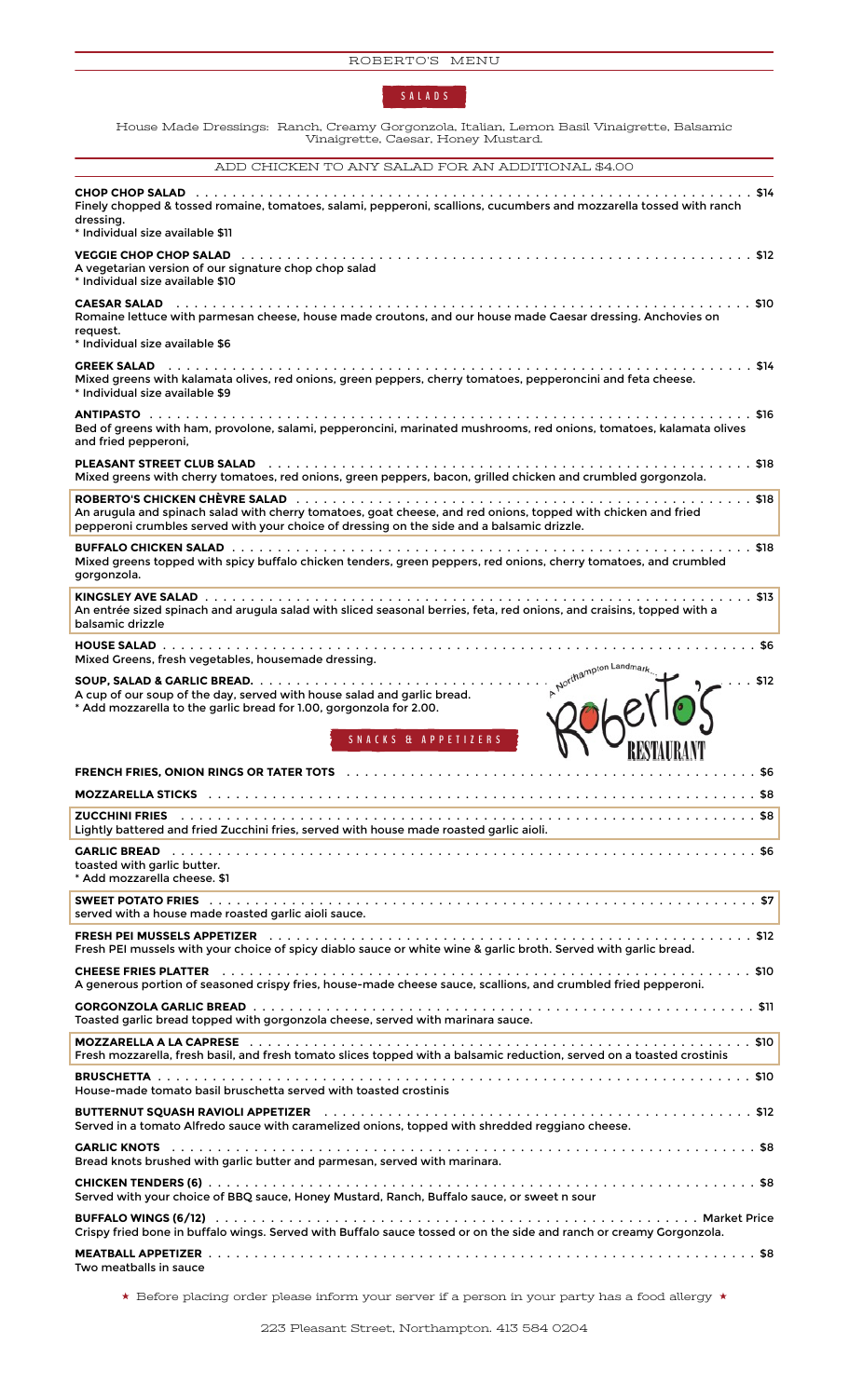

House Made Dressings: Ranch, Creamy Gorgonzola, Italian, Lemon Basil Vinaigrette, Balsamic Vinaigrette, Caesar, Honey Mustard.

ADD CHICKEN TO ANY SALAD FOR AN ADDITIONAL \$4.00 **CHOP CHOP SALAD** . . . . . . . . . . . . . . . . . . . . . . . . . . . . . . . . . . . . . . . . . . . . . . . . . . . . . . . . . . . . . \$14 Finely chopped & tossed romaine, tomatoes, salami, pepperoni, scallions, cucumbers and mozzarella tossed with ranch dressing. \* Individual size available \$11 **VEGGIE CHOP CHOP SALAD** . . . . . . . . . . . . . . . . . . . . . . . . . . . . . . . . . . . . . . . . . . . . . . . . . . . . . . . . \$12 A vegetarian version of our signature chop chop salad \* Individual size available \$10 **CAESAR SALAD** . . . . . . . . . . . . . . . . . . . . . . . . . . . . . . . . . . . . . . . . . . . . . . . . . . . . . . . . . . . . . . . \$10 Romaine lettuce with parmesan cheese, house made croutons, and our house made Caesar dressing. Anchovies on request. \* Individual size available \$6 **GREEK SALAD** . . . . . . . . . . . . . . . . . . . . . . . . . . . . . . . . . . . . . . . . . . . . . . . . . . . . . . . . . . . . . . . . \$14 Mixed greens with kalamata olives, red onions, green peppers, cherry tomatoes, pepperoncini and feta cheese. \* Individual size available \$9 **ANTIPASTO** . . . . . . . . . . . . . . . . . . . . . . . . . . . . . . . . . . . . . . . . . . . . . . . . . . . . . . . . . . . . . . . . . . \$16 Bed of greens with ham, provolone, salami, pepperoncini, marinated mushrooms, red onions, tomatoes, kalamata olives and fried pepperoni, **PLEASANT STREET CLUB SALAD** . . . . . . . . . . . . . . . . . . . . . . . . . . . . . . . . . . . . . . . . . . . . . . . . . . . . . \$18 Mixed greens with cherry tomatoes, red onions, green peppers, bacon, grilled chicken and crumbled gorgonzola. **ROBERTO'S CHICKEN CHÈVRE SALAD** . . . . . . . . . . . . . . . . . . . . . . . . . . . . . . . . . . . . . . . . . . . . . . . . . . \$18 An arugula and spinach salad with cherry tomatoes, goat cheese, and red onions, topped with chicken and fried pepperoni crumbles served with your choice of dressing on the side and a balsamic drizzle. **BUFFALO CHICKEN SALAD** . . . . . . . . . . . . . . . . . . . . . . . . . . . . . . . . . . . . . . . . . . . . . . . . . . . . . . . . . \$18 Mixed greens topped with spicy buffalo chicken tenders, green peppers, red onions, cherry tomatoes, and crumbled gorgonzola. **KINGSLEY AVE SALAD** . . . . . . . . . . . . . . . . . . . . . . . . . . . . . . . . . . . . . . . . . . . . . . . . . . . . . . . . . . . . \$13 An entrée sized spinach and arugula salad with sliced seasonal berries, feta, red onions, and craisins, topped with a balsamic drizzle **HOUSE SALAD** . . . . . . . . . . . . . . . . . . . . . . . . . . . . . . . . . . . . . . . . . . . . . . . . . . . . . . . . . . . . . . . . . \$6 Mixed Greens, fresh vegetables, housemade dressing. **SOUP, SALAD & GARLIC BREAD.** . . . . . . . . . . . . . . . . . . . . . . . . . . . . . . . . . . . . . . . . . . . . . . . . . . . . . . \$12 A cup of our soup of the day, served with house salad and garlic bread. \* Add mozzarella to the garlic bread for 1.00, gorgonzola for 2.00. **SNA CKS & APPETIZERS FRENCH FRIES, ONION RINGS OR TATER TOTS** . . . . . . . . . . . . . . . . . . . . . . . . . . . . . . . . . . . . . . . . . . . . . \$6 **MOZZARELLA STICKS** . . . . . . . . . . . . . . . . . . . . . . . . . . . . . . . . . . . . . . . . . . . . . . . . . . . . . . . . . . . . \$8 **ZUCCHINI FRIES** . . . . . . . . . . . . . . . . . . . . . . . . . . . . . . . . . . . . . . . . . . . . . . . . . . . . . . . . . . . . . . . \$8 Lightly battered and fried Zucchini fries, served with house made roasted garlic aioli. **GARLIC BREAD** . . . . . . . . . . . . . . . . . . . . . . . . . . . . . . . . . . . . . . . . . . . . . . . . . . . . . . . . . . . . . . . . \$6 toasted with garlic butter. \* Add mozzarella cheese. \$1 **SWEET POTATO FRIES** . . . . . . . . . . . . . . . . . . . . . . . . . . . . . . . . . . . . . . . . . . . . . . . . . . . . . . . . . . . . \$7 served with a house made roasted garlic aioli sauce. **FRESH PEI MUSSELS APPETIZER** . . . . . . . . . . . . . . . . . . . . . . . . . . . . . . . . . . . . . . . . . . . . . . . . . . . . . \$12 Fresh PEI mussels with your choice of spicy diablo sauce or white wine & garlic broth. Served with garlic bread. **CHEESE FRIES PLATTER** . . . . . . . . . . . . . . . . . . . . . . . . . . . . . . . . . . . . . . . . . . . . . . . . . . . . . . . . . . \$10 A generous portion of seasoned crispy fries, house-made cheese sauce, scallions, and crumbled fried pepperoni. **GORGONZOLA GARLIC BREAD** . . . . . . . . . . . . . . . . . . . . . . . . . . . . . . . . . . . . . . . . . . . . . . . . . . . . . . . \$11 Toasted garlic bread topped with gorgonzola cheese, served with marinara sauce. **MOZZARELLA A LA CAPRESE** . . . . . . . . . . . . . . . . . . . . . . . . . . . . . . . . . . . . . . . . . . . . . . . . . . . . . . . \$10 Fresh mozzarella, fresh basil, and fresh tomato slices topped with a balsamic reduction, served on a toasted crostinis **BRUSCHETTA** . . . . . . . . . . . . . . . . . . . . . . . . . . . . . . . . . . . . . . . . . . . . . . . . . . . . . . . . . . . . . . . . . \$10 House-made tomato basil bruschetta served with toasted crostinis **BUTTERNUT SQUASH RAVIOLI APPETIZER** . . . . . . . . . . . . . . . . . . . . . . . . . . . . . . . . . . . . . . . . . . . . . . . \$12 Served in a tomato Alfredo sauce with caramelized onions, topped with shredded reggiano cheese. **GARLIC KNOTS** . . . . . . . . . . . . . . . . . . . . . . . . . . . . . . . . . . . . . . . . . . . . . . . . . . . . . . . . . . . . . . . . \$8 Bread knots brushed with garlic butter and parmesan, served with marinara. **CHICKEN TENDERS (6)** . . . . . . . . . . . . . . . . . . . . . . . . . . . . . . . . . . . . . . . . . . . . . . . . . . . . . . . . . . . . \$8 Served with your choice of BBQ sauce, Honey Mustard, Ranch, Buffalo sauce, or sweet n sour **BUFFALO WINGS (6/12)** . . . . . . . . . . . . . . . . . . . . . . . . . . . . . . . . . . . . . . . . . . . . . . . . . . . . . Market Price Crispy fried bone in buffalo wings. Served with Buffalo sauce tossed or on the side and ranch or creamy Gorgonzola. **MEATBALL APPETIZER** . . . . . . . . . . . . . . . . . . . . . . . . . . . . . . . . . . . . . . . . . . . . . . . . . . . . . . . . . . . . \$8 Two meatballs in sauce

 $\star$  Before placing order please inform your server if a person in your party has a food allergy  $\star$